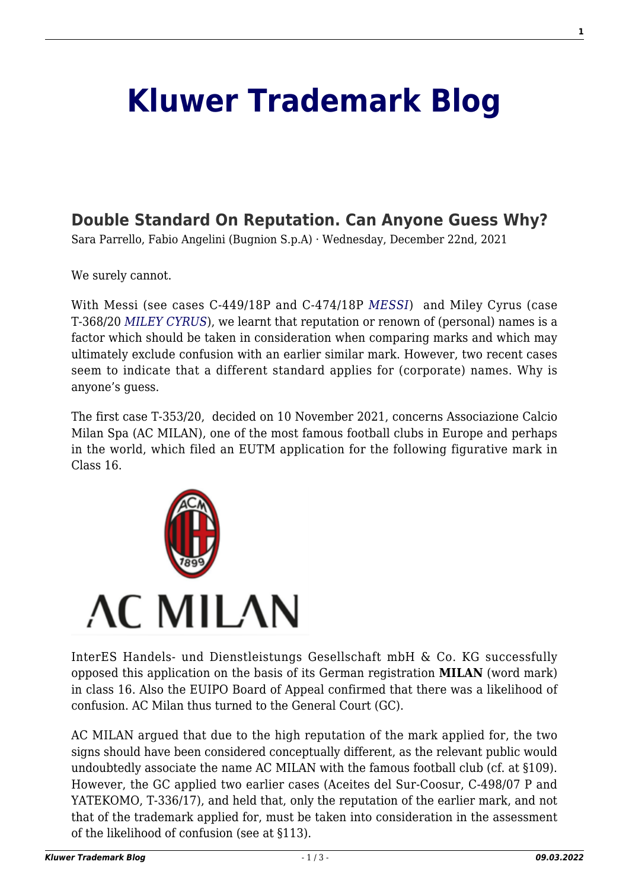## **[Kluwer Trademark Blog](http://trademarkblog.kluweriplaw.com/)**

## **[Double Standard On Reputation. Can Anyone Guess Why?](http://trademarkblog.kluweriplaw.com/2021/12/22/double-standard-on-reputation-can-anyone-guess-why/)**

Sara Parrello, Fabio Angelini (Bugnion S.p.A) · Wednesday, December 22nd, 2021

We surely cannot.

With Messi (see cases C-449/18P and C-474/18P *[MESSI](https://eur04.safelinks.protection.outlook.com/?url=http%3A%2F%2Ftrademarkblog.kluweriplaw.com%2F2020%2F09%2F23%2Flionel-messi-scores-his-surname-trade-mark-the-cjeus-own-goal%2F&data=04%7C01%7Csara.parrello%40bugnion.eu%7Ca78ba25520384886cf1108d9c3c6c09b%7C6bbd7ce966024e5a872bbadc8600659c%7C0%7C0%7C637756080669880407%7CUnknown%7CTWFpbGZsb3d8eyJWIjoiMC4wLjAwMDAiLCJQIjoiV2luMzIiLCJBTiI6Ik1haWwiLCJXVCI6Mn0%3D%7C3000&sdata=%2FOGUu%2BFVDEJ8R8jws73cw7%2FOEKcVIzGI5ZQB8JH%2B6ws%3D&reserved=0)*) and Miley Cyrus (case T‑368/20 *[MILEY CYRUS](https://eur04.safelinks.protection.outlook.com/?url=http%3A%2F%2Ftrademarkblog.kluweriplaw.com%2F2021%2F07%2F23%2Fok-everyone-knows-messi-but-miley-cyrus%2F&data=04%7C01%7Csara.parrello%40bugnion.eu%7Ca78ba25520384886cf1108d9c3c6c09b%7C6bbd7ce966024e5a872bbadc8600659c%7C0%7C0%7C637756080669890357%7CUnknown%7CTWFpbGZsb3d8eyJWIjoiMC4wLjAwMDAiLCJQIjoiV2luMzIiLCJBTiI6Ik1haWwiLCJXVCI6Mn0%3D%7C3000&sdata=sYQbD0%2F0Nn%2FaRATEI0kBDyZx%2BDxwIizWykP6numZIos%3D&reserved=0)*), we learnt that reputation or renown of (personal) names is a factor which should be taken in consideration when comparing marks and which may ultimately exclude confusion with an earlier similar mark. However, two recent cases seem to indicate that a different standard applies for (corporate) names. Why is anyone's guess.

The first case T-353/20, decided on 10 November 2021, concerns Associazione Calcio Milan Spa (AC MILAN), one of the most famous football clubs in Europe and perhaps in the world, which filed an EUTM application for the following figurative mark in Class 16.



InterES Handels- und Dienstleistungs Gesellschaft mbH & Co. KG successfully opposed this application on the basis of its German registration **MILAN** (word mark) in class 16. Also the EUIPO Board of Appeal confirmed that there was a likelihood of confusion. AC Milan thus turned to the General Court (GC).

AC MILAN argued that due to the high reputation of the mark applied for, the two signs should have been considered conceptually different, as the relevant public would undoubtedly associate the name AC MILAN with the famous football club (cf. at §109). However, the GC applied two earlier cases (Aceites del Sur-Coosur, C‑498/07 P and YATEKOMO, T-336/17), and held that, only the reputation of the earlier mark, and not that of the trademark applied for, must be taken into consideration in the assessment of the likelihood of confusion (see at §113).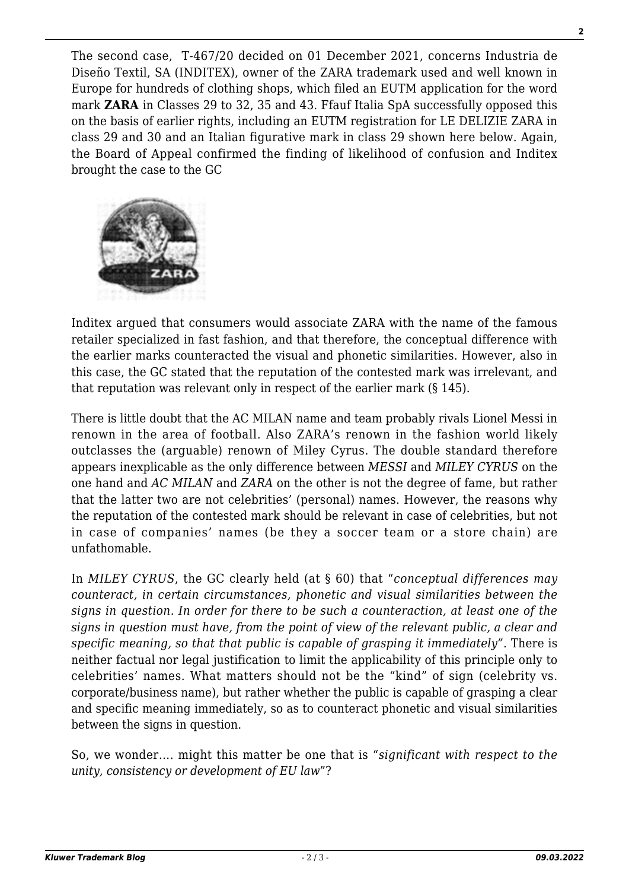The second case, T‑467/20 decided on 01 December 2021, concerns Industria de Diseño Textil, SA (INDITEX), owner of the ZARA trademark used and well known in Europe for hundreds of clothing shops, which filed an EUTM application for the word mark **ZARA** in Classes 29 to 32, 35 and 43. Ffauf Italia SpA successfully opposed this on the basis of earlier rights, including an EUTM registration for LE DELIZIE ZARA in class 29 and 30 and an Italian figurative mark in class 29 shown here below. Again, the Board of Appeal confirmed the finding of likelihood of confusion and Inditex brought the case to the GC



Inditex argued that consumers would associate ZARA with the name of the famous retailer specialized in fast fashion, and that therefore, the conceptual difference with the earlier marks counteracted the visual and phonetic similarities. However, also in this case, the GC stated that the reputation of the contested mark was irrelevant, and that reputation was relevant only in respect of the earlier mark (§ 145).

There is little doubt that the AC MILAN name and team probably rivals Lionel Messi in renown in the area of football. Also ZARA's renown in the fashion world likely outclasses the (arguable) renown of Miley Cyrus. The double standard therefore appears inexplicable as the only difference between *MESSI* and *MILEY CYRUS* on the one hand and *AC MILAN* and *ZARA* on the other is not the degree of fame, but rather that the latter two are not celebrities' (personal) names. However, the reasons why the reputation of the contested mark should be relevant in case of celebrities, but not in case of companies' names (be they a soccer team or a store chain) are unfathomable.

In *MILEY CYRUS*, the GC clearly held (at § 60) that "*conceptual differences may counteract, in certain circumstances, phonetic and visual similarities between the signs in question. In order for there to be such a counteraction, at least one of the signs in question must have, from the point of view of the relevant public, a clear and specific meaning, so that that public is capable of grasping it immediately"*. There is neither factual nor legal justification to limit the applicability of this principle only to celebrities' names. What matters should not be the "kind" of sign (celebrity vs. corporate/business name), but rather whether the public is capable of grasping a clear and specific meaning immediately, so as to counteract phonetic and visual similarities between the signs in question.

So, we wonder…. might this matter be one that is "*significant with respect to the unity, consistency or development of EU law*"?